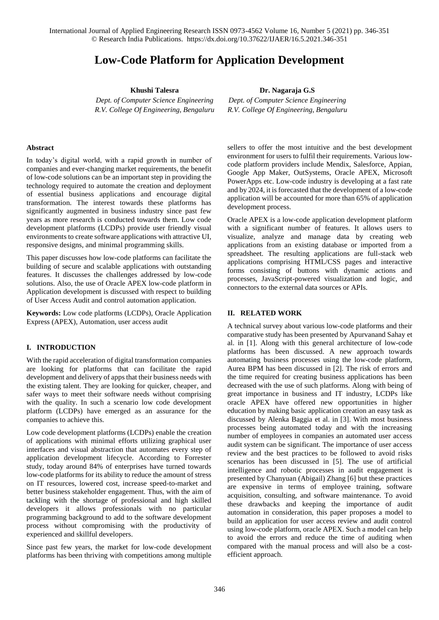International Journal of Applied Engineering Research ISSN 0973-4562 Volume 16, Number 5 (2021) pp. 346-351 © Research India Publications. https://dx.doi.org/10.37622/IJAER/16.5.2021.346-351

# **Low-Code Platform for Application Development**

**Khushi Talesra**

*Dept. of Computer Science Engineering R.V. College Of Engineering, Bengaluru* **Dr. Nagaraja G.S**

*Dept. of Computer Science Engineering R.V. College Of Engineering, Bengaluru*

#### **Abstract**

In today's digital world, with a rapid growth in number of companies and ever-changing market requirements, the benefit of low-code solutions can be an important step in providing the technology required to automate the creation and deployment of essential business applications and encourage digital transformation. The interest towards these platforms has significantly augmented in business industry since past few years as more research is conducted towards them. Low code development platforms (LCDPs) provide user friendly visual environments to create software applications with attractive UI, responsive designs, and minimal programming skills.

This paper discusses how low-code platforms can facilitate the building of secure and scalable applications with outstanding features. It discusses the challenges addressed by low-code solutions. Also, the use of Oracle APEX low-code platform in Application development is discussed with respect to building of User Access Audit and control automation application.

**Keywords:** Low code platforms (LCDPs), Oracle Application Express (APEX), Automation, user access audit

### **I. INTRODUCTION**

With the rapid acceleration of digital transformation companies are looking for platforms that can facilitate the rapid development and delivery of apps that their business needs with the existing talent. They are looking for quicker, cheaper, and safer ways to meet their software needs without comprising with the quality. In such a scenario low code development platform (LCDPs) have emerged as an assurance for the companies to achieve this.

Low code development platforms (LCDPs) enable the creation of applications with minimal efforts utilizing graphical user interfaces and visual abstraction that automates every step of application development lifecycle. According to Forrester study, today around 84% of enterprises have turned towards low-code platforms for its ability to reduce the amount of stress on IT resources, lowered cost, increase speed-to-market and better business stakeholder engagement. Thus, with the aim of tackling with the shortage of professional and high skilled developers it allows professionals with no particular programming background to add to the software development process without compromising with the productivity of experienced and skillful developers.

Since past few years, the market for low-code development platforms has been thriving with competitions among multiple sellers to offer the most intuitive and the best development environment for users to fulfil their requirements. Various lowcode platform providers include Mendix, Salesforce, Appian, Google App Maker, OutSystems, Oracle APEX, Microsoft PowerApps etc. Low-code industry is developing at a fast rate and by 2024, it is forecasted that the development of a low-code application will be accounted for more than 65% of application development process.

Oracle APEX is a low-code application development platform with a significant number of features. It allows users to visualize, analyze and manage data by creating web applications from an existing database or imported from a spreadsheet. The resulting applications are full-stack web applications comprising HTML/CSS pages and interactive forms consisting of buttons with dynamic actions and processes, JavaScript-powered visualization and logic, and connectors to the external data sources or APIs.

# **II. RELATED WORK**

A technical survey about various low-code platforms and their comparative study has been presented by Apurvanand Sahay et al. in [1]. Along with this general architecture of low-code platforms has been discussed. A new approach towards automating business processes using the low-code platform, Aurea BPM has been discussed in [2]. The risk of errors and the time required for creating business applications has been decreased with the use of such platforms. Along with being of great importance in business and IT industry, LCDPs like oracle APEX have offered new opportunities in higher education by making basic application creation an easy task as discussed by Alenka Baggia et al. in [3]. With most business processes being automated today and with the increasing number of employees in companies an automated user access audit system can be significant. The importance of user access review and the best practices to be followed to avoid risks scenarios has been discussed in [5]. The use of artificial intelligence and robotic processes in audit engagement is presented by Chanyuan (Abigail) Zhang [6] but these practices are expensive in terms of employee training, software acquisition, consulting, and software maintenance. To avoid these drawbacks and keeping the importance of audit automation in consideration, this paper proposes a model to build an application for user access review and audit control using low-code platform, oracle APEX. Such a model can help to avoid the errors and reduce the time of auditing when compared with the manual process and will also be a costefficient approach.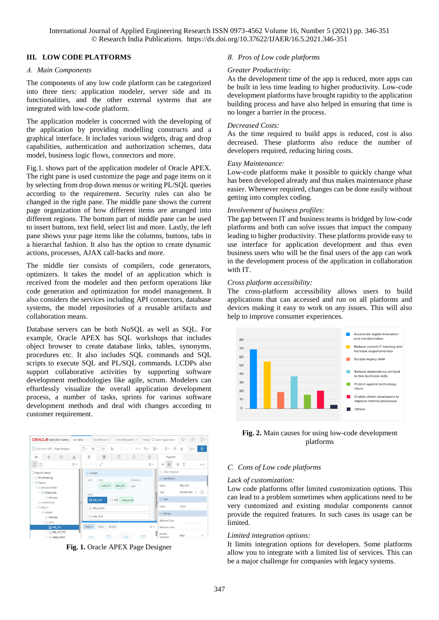International Journal of Applied Engineering Research ISSN 0973-4562 Volume 16, Number 5 (2021) pp. 346-351 © Research India Publications. https://dx.doi.org/10.37622/IJAER/16.5.2021.346-351

### **III. LOW CODE PLATFORMS**

#### *A. Main Components*

The components of any low code platform can be categorized into three tiers: application modeler, server side and its functionalities, and the other external systems that are integrated with low-code platform.

The application modeler is concerned with the developing of the application by providing modelling constructs and a graphical interface. It includes various widgets, drag and drop capabilities, authentication and authorization schemes, data model, business logic flows, connectors and more.

Fig.1. shows part of the application modeler of Oracle APEX. The right pane is used customize the page and page items on it by selecting from drop down menus or writing PL/SQL queries according to the requirement. Security rules can also be changed in the right pane. The middle pane shows the current page organization of how different items are arranged into different regions. The bottom part of middle pane can be used to insert buttons, text field, select list and more. Lastly, the left pane shows your page items like the columns, buttons, tabs in a hierarchal fashion. It also has the option to create dynamic actions, processes, AJAX call-backs and more.

The middle tier consists of compilers, code generators, optimizers. It takes the model of an application which is received from the modeler and then perform operations like code generation and optimization for model management. It also considers the services including API connectors, database systems, the model repositories of a reusable artifacts and collaboration means.

Database servers can be both NoSQL as well as SQL. For example, Oracle APEX has SQL workshops that includes object browser to create database links, tables, synonyms, procedures etc. It also includes SQL commands and SQL scripts to execute SQL and PL/SQL commands. LCDPs also support collaborative activities by supporting software development methodologies like agile, scrum. Modelers can effortlessly visualize the overall application development process, a number of tasks, sprints for various software development methods and deal with changes according to customer requirement.



**Fig. 1.** Oracle APEX Page Designer

### *B. Pros of Low code platforms*

#### *Greater Productivity:*

As the development time of the app is reduced, more apps can be built in less time leading to higher productivity. Low-code development platforms have brought rapidity to the application building process and have also helped in ensuring that time is no longer a barrier in the process.

#### *Decreased Costs:*

As the time required to build apps is reduced, cost is also decreased. These platforms also reduce the number of developers required, reducing hiring costs.

#### *Easy Maintenance:*

Low-code platforms make it possible to quickly change what has been developed already and thus makes maintenance phase easier. Whenever required, changes can be done easily without getting into complex coding.

#### *Involvement of business profiles:*

The gap between IT and business teams is bridged by low-code platforms and both can solve issues that impact the company leading to higher productivity. These platforms provide easy to use interface for application development and thus even business users who will be the final users of the app can work in the development process of the application in collaboration with IT.

#### *Cross platform accessibility:*

The cross-platform accessibility allows users to build applications that can accessed and run on all platforms and devices making it easy to work on any issues. This will also help to improve consumer experiences.



**Fig. 2.** Main causes for using low-code development platforms

#### *C. Cons of Low code platforms*

#### *Lack of customization:*

Low code platforms offer limited customization options. This can lead to a problem sometimes when applications need to be very customized and existing modular components cannot provide the required features. In such cases its usage can be limited.

#### *Limited integration options:*

It limits integration options for developers. Some platforms allow you to integrate with a limited list of services. This can be a major challenge for companies with legacy systems.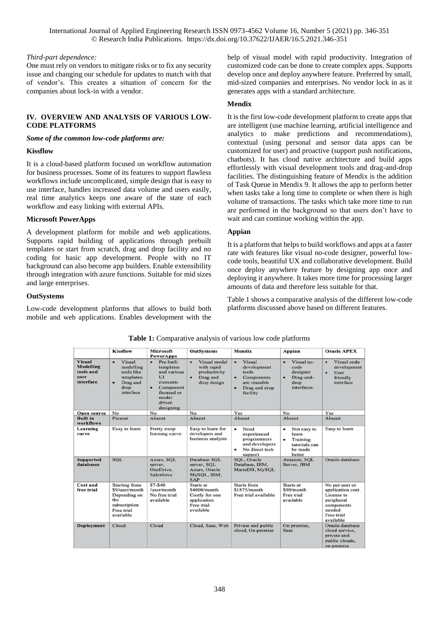International Journal of Applied Engineering Research ISSN 0973-4562 Volume 16, Number 5 (2021) pp. 346-351 © Research India Publications. https://dx.doi.org/10.37622/IJAER/16.5.2021.346-351

### *Third-part dependence:*

One must rely on vendors to mitigate risks or to fix any security issue and changing our schedule for updates to match with that of vendor's. This creates a situation of concern for the companies about lock-in with a vendor.

### **IV. OVERVIEW AND ANALYSIS OF VARIOUS LOW-CODE PLATFORMS**

*Some of the common low-code platforms are:*

### **Kissflow**

It is a cloud-based platform focused on workflow automation for business processes. Some of its features to support flawless workflows include uncomplicated, simple design that is easy to use interface, handles increased data volume and users easily, real time analytics keeps one aware of the state of each workflow and easy linking with external APIs.

### **Microsoft PowerApps**

A development platform for mobile and web applications. Supports rapid building of applications through prebuilt templates or start from scratch, drag and drop facility and no coding for basic app development. People with no IT background can also become app builders. Enable extensibility through integration with azure functions. Suitable for mid sizes and large enterprises.

### **OutSystems**

Low-code development platforms that allows to build both mobile and web applications. Enables development with the help of visual model with rapid productivity. Integration of customized code can be done to create complex apps. Supports develop once and deploy anywhere feature. Preferred by small, mid-sized companies and enterprises. No vendor lock in as it generates apps with a standard architecture.

# **Mendix**

It is the first low-code development platform to create apps that are intelligent (use machine learning, artificial intelligence and analytics to make predictions and recommendations), contextual (using personal and sensor data apps can be customized for user) and proactive (support push notifications, chatbots). It has cloud native architecture and build apps effortlessly with visual development tools and drag-and-drop facilities. The distinguishing feature of Mendix is the addition of Task Queue in Mendix 9. It allows the app to perform better when tasks take a long time to complete or when there is high volume of transactions. The tasks which take more time to run are performed in the background so that users don't have to wait and can continue working within the app.

### **Appian**

It is a platform that helps to build workflows and apps at a faster rate with features like visual no-code designer, powerful lowcode tools, beautiful UX and collaborative development. Build once deploy anywhere feature by designing app once and deploying it anywhere. It takes more time for processing larger amounts of data and therefore less suitable for that.

Table 1 shows a comparative analysis of the different low-code platforms discussed above based on different features.

|                                                                     | <b>Kissflow</b>                                                                                          | Microsoft<br><b>PowerApps</b>                                                                                                        | <b>OutSystems</b>                                                                       | Mendix                                                                                         | Appian                                                                           | <b>Oracle APEX</b>                                                                                                 |
|---------------------------------------------------------------------|----------------------------------------------------------------------------------------------------------|--------------------------------------------------------------------------------------------------------------------------------------|-----------------------------------------------------------------------------------------|------------------------------------------------------------------------------------------------|----------------------------------------------------------------------------------|--------------------------------------------------------------------------------------------------------------------|
| <b>Visual</b><br><b>Modelling</b><br>tools and<br>user<br>interface | Visual<br>modelling<br>tools like<br>templates.<br>Drag and<br>٠<br>drop<br>interface                    | Pre-built<br>$\bullet$<br>templates<br>and various<br>UI<br>elements<br>٠<br>Component<br>focused or<br>model<br>driven<br>designing | Visual model<br>with rapid<br>productivity<br>Drag and<br>drop design                   | Visual<br>development<br>tools<br>Components<br>٠<br>are reusable<br>Drag and drop<br>facility | Visual no-<br>code<br>designer<br>٠<br>Drag-and-<br>drop<br>interfaces.          | Visual code<br>development<br><b>User</b><br>٠<br>friendly<br>interface                                            |
| Open source                                                         | No                                                                                                       | No                                                                                                                                   | No                                                                                      | Yes                                                                                            | No                                                                               | Yes                                                                                                                |
| <b>Built in</b><br><b>workflows</b>                                 | Present                                                                                                  | Absent                                                                                                                               | Absent                                                                                  | Absent                                                                                         | Absent                                                                           | Absent                                                                                                             |
| Learning<br>curve                                                   | Easy to learn                                                                                            | Pretty steep<br>learning curve                                                                                                       | Easy to learn for<br>developers and<br>business analysts                                | Need<br>٠<br>experienced<br>programmers<br>and developers<br>No direct tech<br>٠<br>support    | ٠<br>Not easy to<br>learn<br>Training<br>٠<br>tutorials can<br>be made<br>better | Easy to learn                                                                                                      |
| <b>Supported</b><br>databases                                       | <b>SQL</b>                                                                                               | Azure, SQL<br>server,<br>OneDrive,<br>Salesforce                                                                                     | Database SOL<br>server, SOL<br>Azure, Oracle<br>MySQL, IBM,<br><b>SAP</b>               | SOL, Oracle<br>Database, IBM,<br>MariaDB, MySQL                                                | Amazon, SOL<br>Server, IBM                                                       | Oracle database                                                                                                    |
| Cost and<br>free trial                                              | <b>Starting from</b><br>\$9/user/month<br>Depending on<br>the<br>subscription<br>Free trial<br>available | $$7 - $40$<br>$l$ user/month<br>No free trial<br>available                                                                           | Starts at<br>$$4000/m$ onth<br>Costly for one<br>application<br>Free trial<br>available | Starts from<br>\$1875/month<br>Free trial available                                            | Starts at<br>$$90/m$ onth<br>Free trial<br>available                             | No per user or<br>application cost.<br>License to<br>peripheral<br>components<br>needed<br>Free trial<br>available |
| <b>Deployment</b>                                                   | Cloud                                                                                                    | Cloud                                                                                                                                | Cloud, Saas, Web                                                                        | Private and public<br>cloud, On premise                                                        | On premise,<br><b>Saas</b>                                                       | Oracle database<br>cloud service,<br>private and<br>public clouds.<br>on premise                                   |

**Table 1:** Comparative analysis of various low code platforms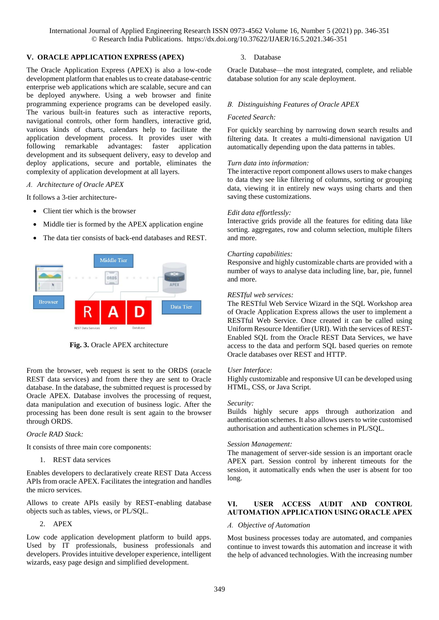International Journal of Applied Engineering Research ISSN 0973-4562 Volume 16, Number 5 (2021) pp. 346-351 © Research India Publications. https://dx.doi.org/10.37622/IJAER/16.5.2021.346-351

### **V. ORACLE APPLICATION EXPRESS (APEX)**

The Oracle Application Express (APEX) is also a low-code development platform that enables us to create database-centric enterprise web applications which are scalable, secure and can be deployed anywhere. Using a web browser and finite programming experience programs can be developed easily. The various built-in features such as interactive reports, navigational controls, other form handlers, interactive grid, various kinds of charts, calendars help to facilitate the application development process. It provides user with following remarkable advantages: faster application development and its subsequent delivery, easy to develop and deploy applications, secure and portable, eliminates the complexity of application development at all layers.

*A. Architecture of Oracle APEX*

It follows a 3-tier architecture-

- Client tier which is the browser
- Middle tier is formed by the APEX application engine
- The data tier consists of back-end databases and REST.



**Fig. 3.** Oracle APEX architecture

From the browser, web request is sent to the ORDS (oracle REST data services) and from there they are sent to Oracle database. In the database, the submitted request is processed by Oracle APEX. Database involves the processing of request, data manipulation and execution of business logic. After the processing has been done result is sent again to the browser through ORDS.

### *Oracle RAD Stack:*

It consists of three main core components:

1. REST data services

Enables developers to declaratively create REST Data Access APIs from oracle APEX. Facilitates the integration and handles the micro services.

Allows to create APIs easily by REST-enabling database objects such as tables, views, or PL/SQL.

### 2. APEX

Low code application development platform to build apps. Used by IT professionals, business professionals and developers. Provides intuitive developer experience, intelligent wizards, easy page design and simplified development.

### 3. Database

Oracle Database—the most integrated, complete, and reliable database solution for any scale deployment.

### *B. Distinguishing Features of Oracle APEX*

### *Faceted Search:*

For quickly searching by narrowing down search results and filtering data. It creates a multi-dimensional navigation UI automatically depending upon the data patterns in tables.

#### *Turn data into information:*

The interactive report component allows users to make changes to data they see like filtering of columns, sorting or grouping data, viewing it in entirely new ways using charts and then saving these customizations.

### *Edit data effortlessly:*

Interactive grids provide all the features for editing data like sorting. aggregates, row and column selection, multiple filters and more.

### *Charting capabilities:*

Responsive and highly customizable charts are provided with a number of ways to analyse data including line, bar, pie, funnel and more.

### *RESTful web services:*

The RESTful Web Service Wizard in the SQL Workshop area of Oracle Application Express allows the user to implement a RESTful Web Service. Once created it can be called using Uniform Resource Identifier (URI). With the services of REST-Enabled SQL from the Oracle REST Data Services, we have access to the data and perform SQL based queries on remote Oracle databases over REST and HTTP.

### *User Interface:*

Highly customizable and responsive UI can be developed using HTML, CSS, or Java Script.

### *Security:*

Builds highly secure apps through authorization and authentication schemes. It also allows users to write customised authorisation and authentication schemes in PL/SQL.

### *Session Management:*

The management of server-side session is an important oracle APEX part. Session control by inherent timeouts for the session, it automatically ends when the user is absent for too long.

# **VI. USER ACCESS AUDIT AND CONTROL AUTOMATION APPLICATION USING ORACLE APEX**

### *A. Objective of Automation*

Most business processes today are automated, and companies continue to invest towards this automation and increase it with the help of advanced technologies. With the increasing number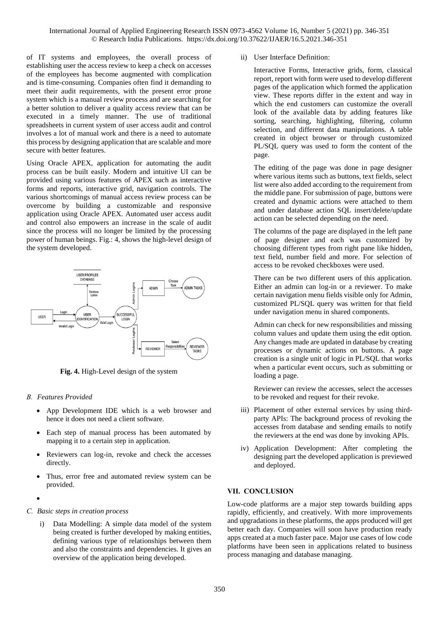of IT systems and employees, the overall process of establishing user the access review to keep a check on accesses of the employees has become augmented with complication and is time-consuming. Companies often find it demanding to meet their audit requirements, with the present error prone system which is a manual review process and are searching for a better solution to deliver a quality access review that can be executed in a timely manner. The use of traditional spreadsheets in current system of user access audit and control involves a lot of manual work and there is a need to automate this process by designing application that are scalable and more secure with better features.

Using Oracle APEX, application for automating the audit process can be built easily. Modern and intuitive UI can be provided using various features of APEX such as interactive forms and reports, interactive grid, navigation controls. The various shortcomings of manual access review process can be overcome by building a customizable and responsive application using Oracle APEX. Automated user access audit and control also empowers an increase in the scale of audit since the process will no longer be limited by the processing power of human beings. Fig.: 4, shows the high-level design of the system developed.



**Fig. 4.** High-Level design of the system

### *B. Features Provided*

- App Development IDE which is a web browser and hence it does not need a client software.
- Each step of manual process has been automated by mapping it to a certain step in application.
- Reviewers can log-in, revoke and check the accesses directly.
- Thus, error free and automated review system can be provided.
- $\bullet$

### *C. Basic steps in creation process*

i) Data Modelling: A simple data model of the system being created is further developed by making entities, defining various type of relationships between them and also the constraints and dependencies. It gives an overview of the application being developed.

ii) User Interface Definition:

Interactive Forms, Interactive grids, form, classical report, report with form were used to develop different pages of the application which formed the application view. These reports differ in the extent and way in which the end customers can customize the overall look of the available data by adding features like sorting, searching, highlighting, filtering, column selection, and different data manipulations. A table created in object browser or through customized PL/SQL query was used to form the content of the page.

The editing of the page was done in page designer where various items such as buttons, text fields, select list were also added according to the requirement from the middle pane. For submission of page, buttons were created and dynamic actions were attached to them and under database action SQL insert/delete/update action can be selected depending on the need.

The columns of the page are displayed in the left pane of page designer and each was customized by choosing different types from right pane like hidden, text field, number field and more. For selection of access to be revoked checkboxes were used.

There can be two different users of this application. Either an admin can log-in or a reviewer. To make certain navigation menu fields visible only for Admin, customized PL/SQL query was written for that field under navigation menu in shared components.

Admin can check for new responsibilities and missing column values and update them using the edit option. Any changes made are updated in database by creating processes or dynamic actions on buttons. A page creation is a single unit of logic in PL/SQL that works when a particular event occurs, such as submitting or loading a page.

Reviewer can review the accesses, select the accesses to be revoked and request for their revoke.

- iii) Placement of other external services by using thirdparty APIs: The background process of revoking the accesses from database and sending emails to notify the reviewers at the end was done by invoking APIs.
- iv) Application Development: After completing the designing part the developed application is previewed and deployed.

# **VII. CONCLUSION**

Low-code platforms are a major step towards building apps rapidly, efficiently, and creatively. With more improvements and upgradations in these platforms, the apps produced will get better each day. Companies will soon have production ready apps created at a much faster pace. Major use cases of low code platforms have been seen in applications related to business process managing and database managing.